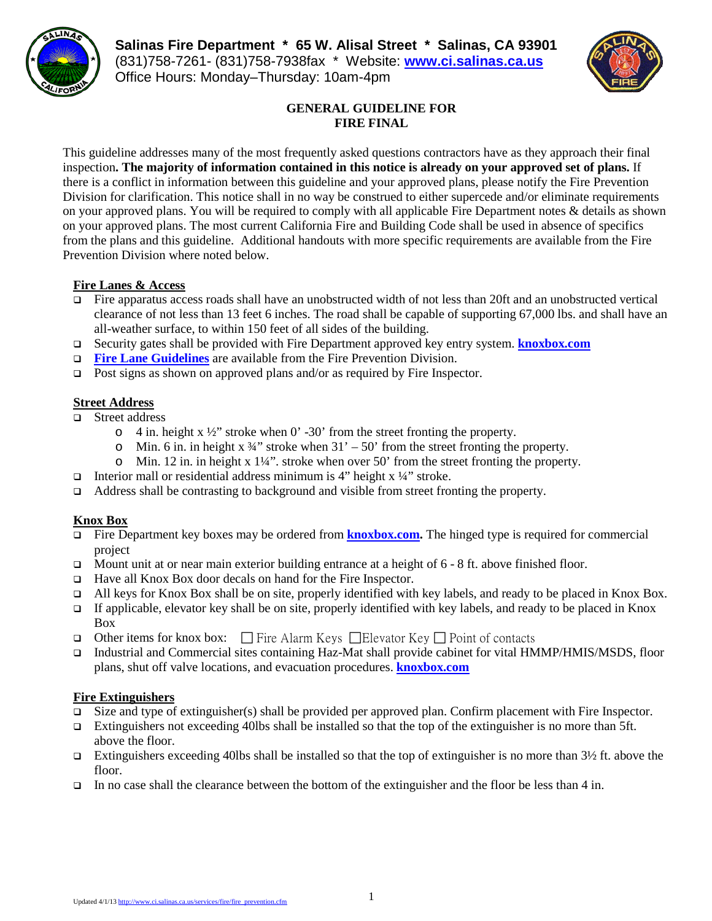# **Salinas Fire Department \* 65 W. Alisal Street \* Salinas, CA 93901** (831)758-7261- (831)758-7938fax \* Website: **[www.ci.salinas.ca.us](http://www.ci.salinas.ca.us/index.cfm)** Office Hours: Monday–Thursday: 10am-4pm



# **GENERAL GUIDELINE FOR FIRE FINAL**

This guideline addresses many of the most frequently asked questions contractors have as they approach their final inspection**. The majority of information contained in this notice is already on your approved set of plans.** If there is a conflict in information between this guideline and your approved plans, please notify the Fire Prevention Division for clarification. This notice shall in no way be construed to either supercede and/or eliminate requirements on your approved plans. You will be required to comply with all applicable Fire Department notes & details as shown on your approved plans. The most current California Fire and Building Code shall be used in absence of specifics from the plans and this guideline. Additional handouts with more specific requirements are available from the Fire Prevention Division where noted below.

## **Fire Lanes & Access**

- Fire apparatus access roads shall have an unobstructed width of not less than 20ft and an unobstructed vertical clearance of not less than 13 feet 6 inches. The road shall be capable of supporting 67,000 lbs. and shall have an all-weather surface, to within 150 feet of all sides of the building.
- Security gates shall be provided with Fire Department approved key entry system. **[knoxbox.com](http://www.knoxbox.com/store/Knox-Key-Switches.cfm)**
- **Fire Lane Guidelines** are available from the Fire Prevention Division.
- □ Post signs as shown on approved plans and/or as required by Fire Inspector.

#### **Street Address**

- □ Street address
	- $\circ$  4 in. height x ½" stroke when 0' -30' from the street fronting the property.
	- $\circ$  Min. 6 in. in height x 34" stroke when 31' 50' from the street fronting the property.
	- $\circ$  Min. 12 in. in height x 1¼". stroke when over 50' from the street fronting the property.
- $\Box$  Interior mall or residential address minimum is 4" height x  $\frac{1}{4}$ " stroke.
- $\Box$  Address shall be contrasting to background and visible from street fronting the property.

#### **Knox Box**

- Fire Department key boxes may be ordered from **[knoxbox.com.](http://www.knoxbox.com/store/Knox-Box-3200-Series.cfm.)** The hinged type is required for commercial project
- Mount unit at or near main exterior building entrance at a height of  $6 8$  ft. above finished floor.
- Have all Knox Box door decals on hand for the Fire Inspector.
- All keys for Knox Box shall be on site, properly identified with key labels, and ready to be placed in Knox Box.
- If applicable, elevator key shall be on site, properly identified with key labels, and ready to be placed in Knox Box
- Other items for knox box:  $\Box$  Fire Alarm Keys  $\Box$  Elevator Key  $\Box$  Point of contacts
- Industrial and Commercial sites containing Haz-Mat shall provide cabinet for vital HMMP/HMIS/MSDS, floor plans, shut off valve locations, and evacuation procedures. **[knoxbox.com](http://www.knoxbox.com/store/Knox-Cabinets.cfm)**

#### **Fire Extinguishers**

- $\Box$  Size and type of extinguisher(s) shall be provided per approved plan. Confirm placement with Fire Inspector.
- Extinguishers not exceeding 40lbs shall be installed so that the top of the extinguisher is no more than 5ft. above the floor.
- Extinguishers exceeding 40lbs shall be installed so that the top of extinguisher is no more than  $3\frac{1}{2}$  ft. above the floor.
- In no case shall the clearance between the bottom of the extinguisher and the floor be less than 4 in.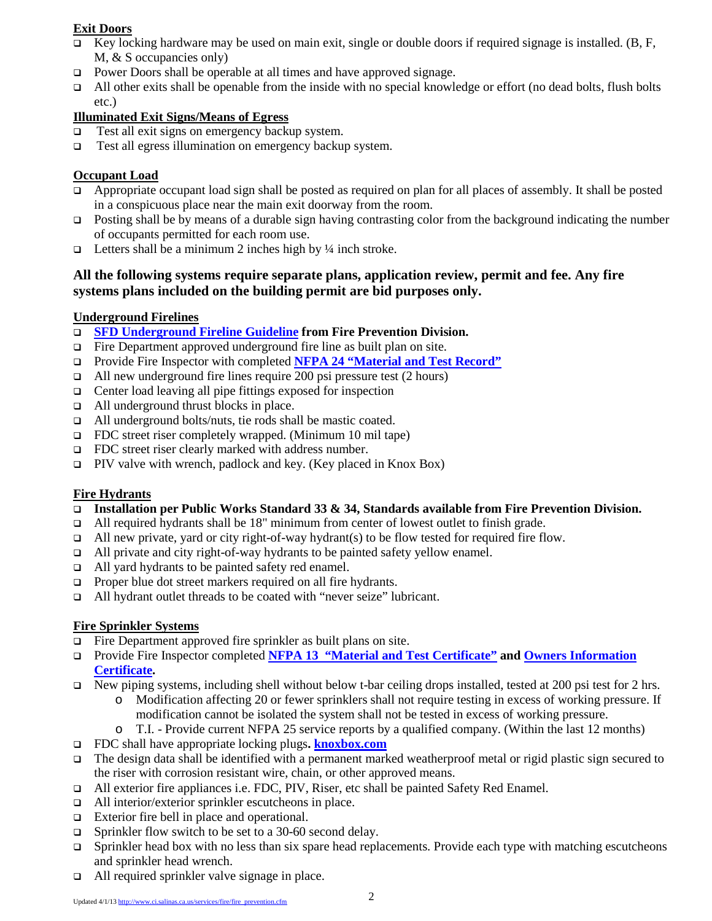## **Exit Doors**

- Ev locking hardware may be used on main exit, single or double doors if required signage is installed. (B, F, M, & S occupancies only)
- □ Power Doors shall be operable at all times and have approved signage.
- All other exits shall be openable from the inside with no special knowledge or effort (no dead bolts, flush bolts etc.)

## **Illuminated Exit Signs/Means of Egress**

- $\Box$  Test all exit signs on emergency backup system.
- Test all egress illumination on emergency backup system.

## **Occupant Load**

- $\Box$  Appropriate occupant load sign shall be posted as required on plan for all places of assembly. It shall be posted in a conspicuous place near the main exit doorway from the room.
- Posting shall be by means of a durable sign having contrasting color from the background indicating the number of occupants permitted for each room use.
- $\Box$  Letters shall be a minimum 2 inches high by ¼ inch stroke.

## **All the following systems require separate plans, application review, permit and fee. Any fire systems plans included on the building permit are bid purposes only.**

## **Underground Firelines**

- **SFD Underground Fireline Guideline from Fire Prevention Division.**
- $\Box$  Fire Department approved underground fire line as built plan on site.
- Provide Fire Inspector with completed **NFPA 24 "Material and Test Record"**
- $\Box$  All new underground fire lines require 200 psi pressure test (2 hours)
- $\Box$  Center load leaving all pipe fittings exposed for inspection
- □ All underground thrust blocks in place.
- All underground bolts/nuts, tie rods shall be mastic coated.
- FDC street riser completely wrapped. (Minimum 10 mil tape)
- □ FDC street riser clearly marked with address number.
- PIV valve with wrench, padlock and key. (Key placed in Knox Box)

# **Fire Hydrants**

- **Installation per Public Works Standard 33 & 34, Standards available from Fire Prevention Division.**
- All required hydrants shall be 18" minimum from center of lowest outlet to finish grade.
- all new private, yard or city right-of-way hydrant(s) to be flow tested for required fire flow.
- All private and city right-of-way hydrants to be painted safety yellow enamel.
- □ All yard hydrants to be painted safety red enamel.
- **Proper blue dot street markers required on all fire hydrants.**
- All hydrant outlet threads to be coated with "never seize" lubricant.

# **Fire Sprinkler Systems**

- Fire Department approved fire sprinkler as built plans on site.
- Provide Fire Inspector completed **NFPA 13 "Material and Test Certificate" and Owners Information Certificate.**
- New piping systems, including shell without below t-bar ceiling drops installed, tested at 200 psi test for 2 hrs.
	- o Modification affecting 20 or fewer sprinklers shall not require testing in excess of working pressure. If modification cannot be isolated the system shall not be tested in excess of working pressure.
	- o T.I. Provide current NFPA 25 service reports by a qualified company. (Within the last 12 months)
- FDC shall have appropriate locking plugs**. [knoxbox.com](http://www.knoxbox.com/store/Knox-FDC-Caps-and-Plugs.cfm)**
- The design data shall be identified with a permanent marked weatherproof metal or rigid plastic sign secured to the riser with corrosion resistant wire, chain, or other approved means.
- All exterior fire appliances i.e. FDC, PIV, Riser, etc shall be painted Safety Red Enamel.
- All interior/exterior sprinkler escutcheons in place.
- □ Exterior fire bell in place and operational.
- $\Box$  Sprinkler flow switch to be set to a 30-60 second delay.
- $\Box$  Sprinkler head box with no less than six spare head replacements. Provide each type with matching escutcheons and sprinkler head wrench.
- All required sprinkler valve signage in place.